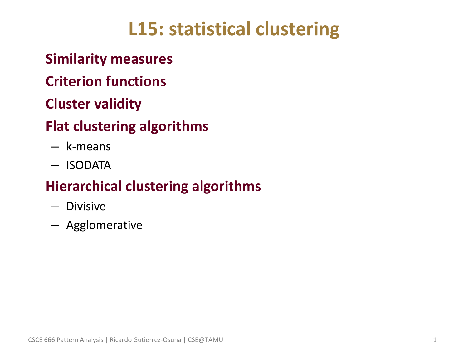# **L15: statistical clustering**

## • **Similarity measures**

## • **Criterion functions**

## • **Cluster validity**

# • **Flat clustering algorithms**

- k-means
- ISODATA

# • **Hierarchical clustering algorithms**

- Divisive
- Agglomerative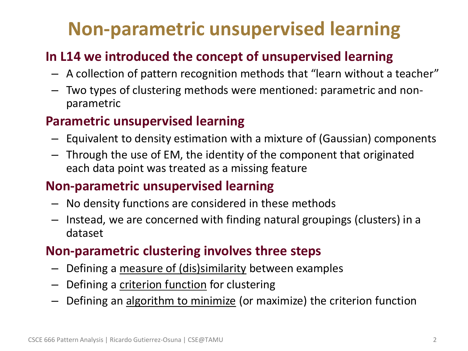# **Non-parametric unsupervised learning**

### • **In L14 we introduced the concept of unsupervised learning**

- A collection of pattern recognition methods that "learn without a teacher"
- Two types of clustering methods were mentioned: parametric and nonparametric

#### • **Parametric unsupervised learning**

- Equivalent to density estimation with a mixture of (Gaussian) components
- Through the use of EM, the identity of the component that originated each data point was treated as a missing feature

#### • **Non-parametric unsupervised learning**

- No density functions are considered in these methods
- Instead, we are concerned with finding natural groupings (clusters) in a dataset

#### • **Non-parametric clustering involves three steps**

- Defining a measure of (dis)similarity between examples
- Defining a criterion function for clustering
- Defining an algorithm to minimize (or maximize) the criterion function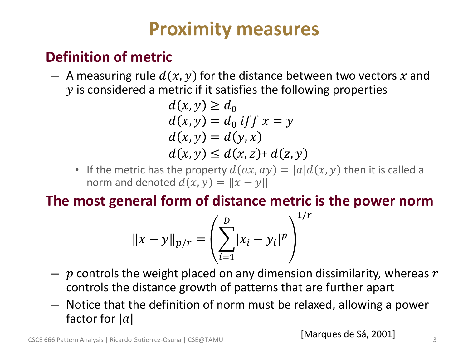# **Proximity measures**

## • **Definition of metric**

 $-$  A measuring rule  $d(x, y)$  for the distance between two vectors x and  $\gamma$  is considered a metric if it satisfies the following properties

$$
d(x, y) \ge d_0
$$
  
\n
$$
d(x, y) = d_0 \text{ if } f x = y
$$
  
\n
$$
d(x, y) = d(y, x)
$$
  
\n
$$
d(x, y) \le d(x, z) + d(z, y)
$$

• If the metric has the property  $d(ax, ay) = |a|d(x, y)$  then it is called a norm and denoted  $d(x, y) = ||x - y||$ 

### • **The most general form of distance metric is the power norm**

$$
\|x - y\|_{p/r} = \left(\sum_{i=1}^{D} |x_i - y_i|^p\right)^{1/r}
$$

- $-$  p controls the weight placed on any dimension dissimilarity, whereas  $r$ controls the distance growth of patterns that are further apart
- Notice that the definition of norm must be relaxed, allowing a power factor for  $|a|$

[Marques de Sá, 2001]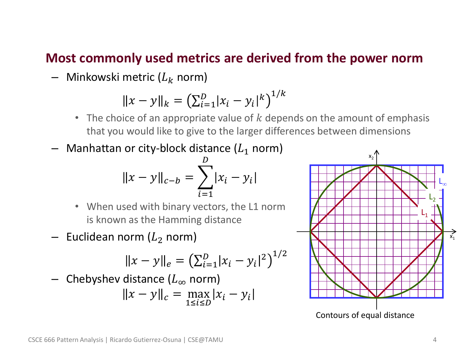#### • **Most commonly used metrics are derived from the power norm**

– Minkowski metric  $(L_k \text{ norm})$ 

$$
||x - y||_{k} = (\sum_{i=1}^{D} |x_{i} - y_{i}|^{k})^{1/k}
$$

- The choice of an appropriate value of  $k$  depends on the amount of emphasis that you would like to give to the larger differences between dimensions
- $-$  Manhattan or city-block distance ( $L_1$  norm)

$$
||x - y||_{c-b} = \sum_{i=1}^{D} |x_i - y_i|
$$

- When used with binary vectors, the L1 norm is known as the Hamming distance
- $-$  Euclidean norm ( $L<sub>2</sub>$  norm)

$$
||x - y||_e = \left(\sum_{i=1}^D |x_i - y_i|^2\right)^{1/2}
$$

Chebyshev distance  $(L_{\infty}$  norm)

$$
||x - y||_c = \max_{1 \le i \le D} |x_i - y_i|
$$

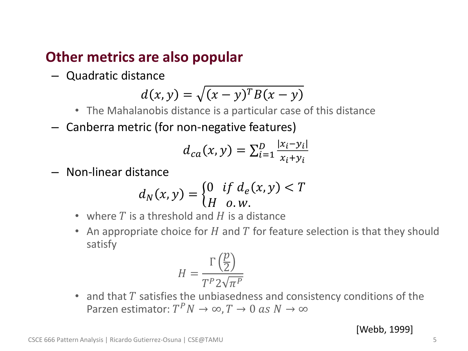#### • **Other metrics are also popular**

– Quadratic distance

$$
d(x, y) = \sqrt{(x - y)^T B(x - y)}
$$

- The Mahalanobis distance is a particular case of this distance
- Canberra metric (for non-negative features)

$$
d_{ca}(x,y) = \sum_{i=1}^{D} \frac{|x_i - y_i|}{x_i + y_i}
$$

– Non-linear distance

$$
d_N(x, y) = \begin{cases} 0 & \text{if } d_e(x, y) < T \\ H & \text{o.w.} \end{cases}
$$

- where  $T$  is a threshold and  $H$  is a distance
- An appropriate choice for H and T for feature selection is that they should satisfy

$$
H = \frac{\Gamma\left(\frac{p}{2}\right)}{T^P 2\sqrt{\pi^P}}
$$

• and that  $T$  satisfies the unbiasedness and consistency conditions of the Parzen estimator:  $T^P N \to \infty$ ,  $T \to 0$  as  $N \to \infty$ 

[Webb, 1999]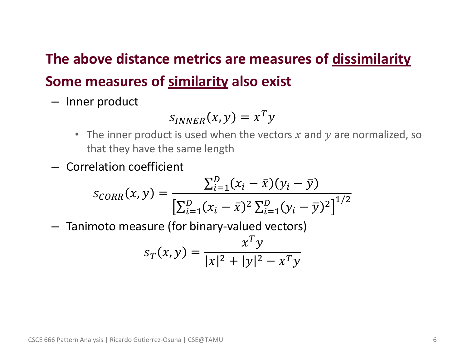# • **The above distance metrics are measures of dissimilarity** • **Some measures of similarity also exist**

– Inner product

$$
S_{INNER}(x, y) = x^T y
$$

- The inner product is used when the vectors  $x$  and  $y$  are normalized, so that they have the same length
- Correlation coefficient

$$
s_{CORR}(x, y) = \frac{\sum_{i=1}^{D} (x_i - \bar{x})(y_i - \bar{y})}{\left[\sum_{i=1}^{D} (x_i - \bar{x})^2 \sum_{i=1}^{D} (y_i - \bar{y})^2\right]^{1/2}}
$$

– Tanimoto measure (for binary-valued vectors)

$$
s_T(x, y) = \frac{x^T y}{|x|^2 + |y|^2 - x^T y}
$$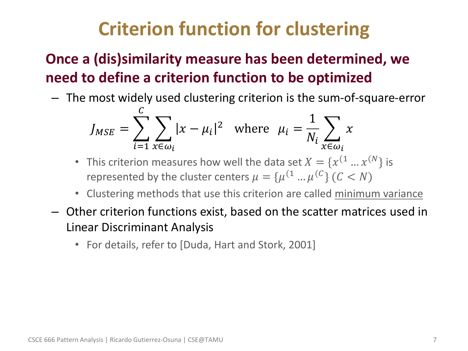# **Criterion function for clustering**

## • **Once a (dis)similarity measure has been determined, we need to define a criterion function to be optimized**

– The most widely used clustering criterion is the sum-of-square-error

$$
J_{MSE} = \sum_{i=1}^{C} \sum_{x \in \omega_i} |x - \mu_i|^2 \quad \text{where} \quad \mu_i = \frac{1}{N_i} \sum_{x \in \omega_i} x
$$

- This criterion measures how well the data set  $X = \{x^{(1)} \dots x^{(N)}\}$  is represented by the cluster centers  $\mu = \{ \mu^{(1} ... \mu^{(C)} \}$   $(C < N)$
- Clustering methods that use this criterion are called minimum variance
- Other criterion functions exist, based on the scatter matrices used in Linear Discriminant Analysis
	- For details, refer to [Duda, Hart and Stork, 2001]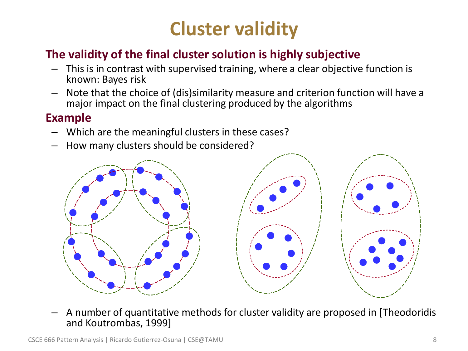# **Cluster validity**

### • **The validity of the final cluster solution is highly subjective**

- This is in contrast with supervised training, where a clear objective function is known: Bayes risk
- Note that the choice of (dis)similarity measure and criterion function will have a major impact on the final clustering produced by the algorithms

#### • **Example**

- Which are the meaningful clusters in these cases?
- How many clusters should be considered?



– A number of quantitative methods for cluster validity are proposed in [Theodoridis and Koutrombas, 1999]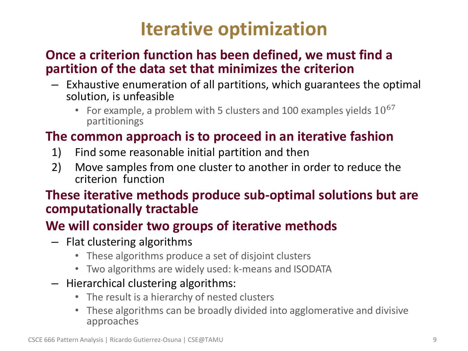# **Iterative optimization**

#### • **Once a criterion function has been defined, we must find a partition of the data set that minimizes the criterion**

- Exhaustive enumeration of all partitions, which guarantees the optimal solution, is unfeasible
	- For example, a problem with 5 clusters and 100 examples yields  $10^{67}$ partitionings

#### • **The common approach is to proceed in an iterative fashion**

- 1) Find some reasonable initial partition and then
- 2) Move samples from one cluster to another in order to reduce the criterion function

#### • **These iterative methods produce sub-optimal solutions but are computationally tractable**

### • **We will consider two groups of iterative methods**

- Flat clustering algorithms
	- These algorithms produce a set of disjoint clusters
	- Two algorithms are widely used: k-means and ISODATA
- Hierarchical clustering algorithms:
	- The result is a hierarchy of nested clusters
	- These algorithms can be broadly divided into agglomerative and divisive approaches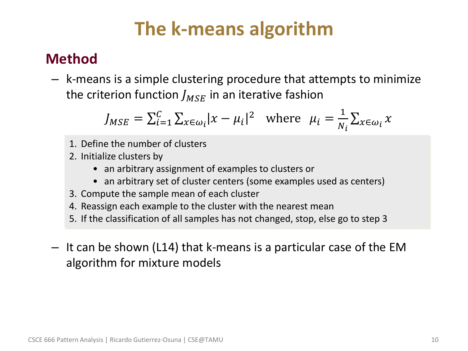# **The k-means algorithm**

## • **Method**

– k-means is a simple clustering procedure that attempts to minimize the criterion function  $J_{MSE}$  in an iterative fashion

$$
J_{MSE} = \sum_{i=1}^{C} \sum_{x \in \omega_i} |x - \mu_i|^2 \quad \text{where} \quad \mu_i = \frac{1}{N_i} \sum_{x \in \omega_i} x
$$

- 1. Define the number of clusters
- 2. Initialize clusters by
	- an arbitrary assignment of examples to clusters or
	- an arbitrary set of cluster centers (some examples used as centers)
- 3. Compute the sample mean of each cluster
- 4. Reassign each example to the cluster with the nearest mean
- 5. If the classification of all samples has not changed, stop, else go to step 3
- It can be shown (L14) that k-means is a particular case of the EM algorithm for mixture models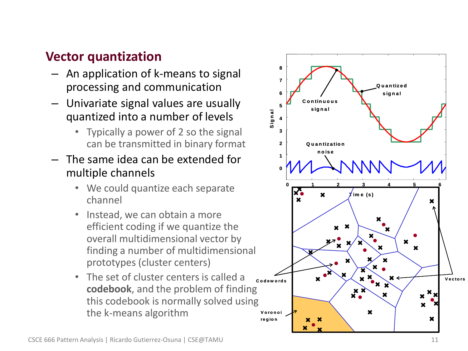#### • **Vector quantization**

- An application of k-means to signal processing and communication
- Univariate signal values are usually quantized into a number of levels
	- Typically a power of 2 so the signal can be transmitted in binary format
- The same idea can be extended for multiple channels
	- We could quantize each separate channel
	- Instead, we can obtain a more efficient coding if we quantize the overall multidimensional vector by finding a number of multidimensional prototypes (cluster centers)
	- The set of cluster centers is called a **codebook**, and the problem of finding this codebook is normally solved using the k -means algorithm

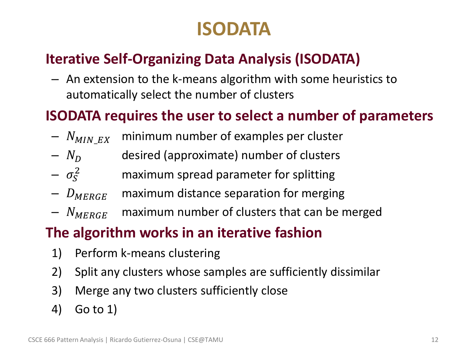# **ISODATA**

## • **Iterative Self-Organizing Data Analysis (ISODATA)**

– An extension to the k-means algorithm with some heuristics to automatically select the number of clusters

### • **ISODATA requires the user to select a number of parameters**

- $N_{MINEX}$  minimum number of examples per cluster
- $-N_D$  desired (approximate) number of clusters
- $-\sigma_{\rm s}^2$ <sup>2</sup> maximum spread parameter for splitting
- $D_{MERGE}$  maximum distance separation for merging
- $N_{MERGE}$  maximum number of clusters that can be merged

## • **The algorithm works in an iterative fashion**

- 1) Perform k-means clustering
- 2) Split any clusters whose samples are sufficiently dissimilar
- 3) Merge any two clusters sufficiently close
- 4) Go to 1)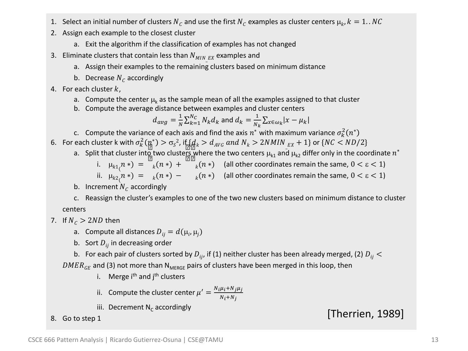- 1. Select an initial number of clusters  $N_{\rm\scriptscriptstyle C}$  and use the first  $N_{\rm\scriptscriptstyle C}$  examples as cluster centers  $\mu_k$ ,  $k=1..NC$
- 2. Assign each example to the closest cluster
	- a. Exit the algorithm if the classification of examples has not changed
- 3. Eliminate clusters that contain less than  $N_{MIN\_EX}$  examples and
	- a. Assign their examples to the remaining clusters based on minimum distance
	- b. Decrease  $N_c$  accordingly
- 4. For each cluster  $k$ ,
	- a. Compute the center  $\mu_k$  as the sample mean of all the examples assigned to that cluster
	- b. Compute the average distance between examples and cluster centers

$$
d_{avg} = \frac{1}{N} \sum_{k=1}^{N_C} N_k d_k
$$
 and 
$$
d_k = \frac{1}{N_k} \sum_{x \in \omega_k} |x - \mu_k|
$$

- c. Compute the variance of each axis and find the axis  $n^*$  with maximum variance  $\sigma_k^2(n^*$
- 6. For each cluster k with  $\sigma_k^2(\frac{n}{2})>\sigma_s^2$ , if  $\{d_k>d_{NG} \ and \ N_k>2NMIN_{EX}+1\}$  or  $\{NC$ 
	- a. Split that cluster into two clusters where the two centers  $\mu_{k1}$  and  $\mu_{k2}$  differ only in the coordinate  $n^*$ 
		- i.  $\mu_{k1}(n*) = \left[\frac{1}{k}(n*) + \frac{1}{k}(n*)\right]$  (all other coordinates remain the same,  $0 < \varepsilon < 1$ )
		- ii.  $\mu_{k2}(n*) = \mu_k(n*) \mu_k(n*)$  (all other coordinates remain the same,  $0 < \varepsilon < 1$ )
	- b. Increment  $N_c$  accordingly

c. Reassign the cluster's examples to one of the two new clusters based on minimum distance to cluster centers

- 7. If  $N_c > 2ND$  then
	- a. Compute all distances  $D_{ij} = d(\mu_i, \mu_j)$
	- b. Sort  $D_{ii}$  in decreasing order
	- b. For each pair of clusters sorted by  $D_{ij}$ , if (1) neither cluster has been already merged, (2)  $D_{ij}$  <

 $DMER<sub>GE</sub>$  and (3) not more than N<sub>MERGE</sub> pairs of clusters have been merged in this loop, then

- i. Merge i<sup>th</sup> and j<sup>th</sup> clusters
- ii. Compute the cluster center  $\mu' = \frac{N_i \mu_i + N_j \mu_j}{N_i + N_j}$  $N_i + N_j$
- iii. Decrement N<sub>c</sub> accordingly

8. Go to step 1 and Secondary executing the contract of the contract of the contract of the contract of the contract of the contract of the contract of the contract of the contract of the contract of the contract of the co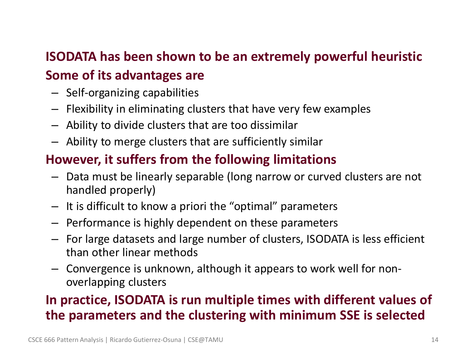## • **ISODATA has been shown to be an extremely powerful heuristic** • **Some of its advantages are**

- Self-organizing capabilities
- Flexibility in eliminating clusters that have very few examples
- Ability to divide clusters that are too dissimilar
- Ability to merge clusters that are sufficiently similar

### • **However, it suffers from the following limitations**

- Data must be linearly separable (long narrow or curved clusters are not handled properly)
- It is difficult to know a priori the "optimal" parameters
- Performance is highly dependent on these parameters
- For large datasets and large number of clusters, ISODATA is less efficient than other linear methods
- Convergence is unknown, although it appears to work well for nonoverlapping clusters

## • **In practice, ISODATA is run multiple times with different values of the parameters and the clustering with minimum SSE is selected**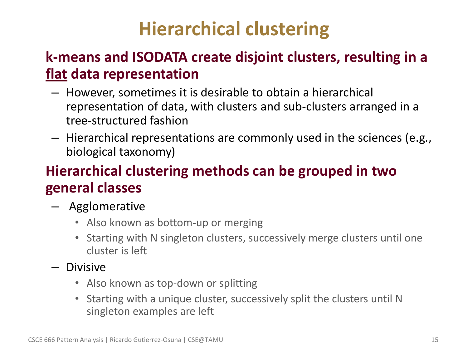# **Hierarchical clustering**

## • **k-means and ISODATA create disjoint clusters, resulting in a flat data representation**

- However, sometimes it is desirable to obtain a hierarchical representation of data, with clusters and sub-clusters arranged in a tree-structured fashion
- Hierarchical representations are commonly used in the sciences (e.g., biological taxonomy)

## • **Hierarchical clustering methods can be grouped in two general classes**

- Agglomerative
	- Also known as bottom-up or merging
	- Starting with N singleton clusters, successively merge clusters until one cluster is left
- Divisive
	- Also known as top-down or splitting
	- Starting with a unique cluster, successively split the clusters until N singleton examples are left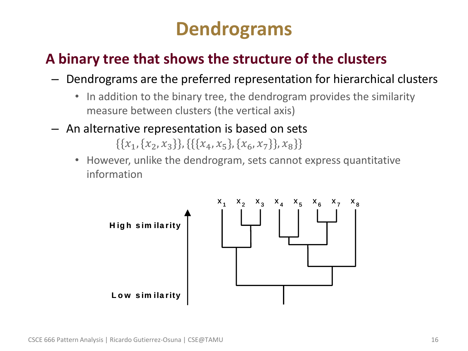# **Dendrograms**

## • **A binary tree that shows the structure of the clusters**

- Dendrograms are the preferred representation for hierarchical clusters
	- In addition to the binary tree, the dendrogram provides the similarity measure between clusters (the vertical axis)
- An alternative representation is based on sets

 $\{\{x_1, \{x_2, x_3\}\}, \{\{\{x_4, x_5\}, \{x_6, x_7\}\}, x_8\}\}\$ 

• However, unlike the dendrogram, sets cannot express quantitative information

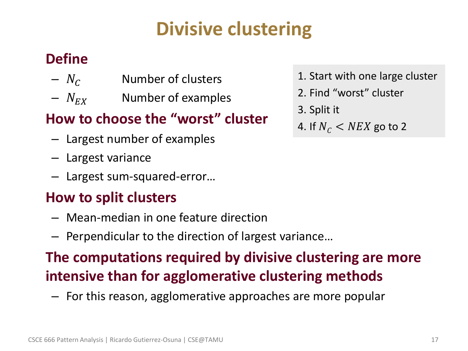# **Divisive clustering**

## • **Define**

- $N_c$  Number of clusters
- $N_{EX}$  Number of examples

## • **How to choose the "worst" cluster**

- Largest number of examples
- Largest variance
- Largest sum-squared-error…

## • **How to split clusters**

- Mean-median in one feature direction
- Perpendicular to the direction of largest variance…

# • **The computations required by divisive clustering are more intensive than for agglomerative clustering methods**

– For this reason, agglomerative approaches are more popular

- 1. Start with one large cluster
- 2. Find "worst" cluster
- 3. Split it
- 4. If  $N_c$  < NEX go to 2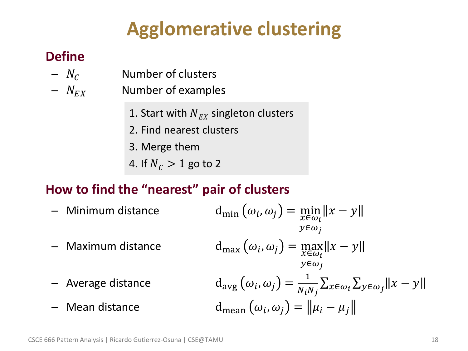# **Agglomerative clustering**

### • **Define**

- $N_c$  Number of clusters
- $N_{EX}$  Number of examples
	- 1. Start with  $N_{EX}$  singleton clusters
	- 2. Find nearest clusters
	- 3. Merge them
	- 4. If  $N_c > 1$  go to 2

## • **How to find the "nearest" pair of clusters**

- $-$  Minimum distance
- $-$  Maximum distance
- $-$  Average distance
- $-$  Mean distance

$$
d_{\min} (\omega_i, \omega_j) = \min_{\substack{x \in \omega_i \\ y \in \omega_j}} \|x - y\|
$$
  
\n
$$
d_{\max} (\omega_i, \omega_j) = \max_{\substack{x \in \omega_i \\ y \in \omega_j}} \|x - y\|
$$
  
\n
$$
d_{\arg} (\omega_i, \omega_j) = \frac{1}{N_i N_j} \sum_{x \in \omega_i} \sum_{y \in \omega_j} \|x - y\|
$$
  
\n
$$
d_{\text{mean}} (\omega_i, \omega_j) = \| \mu_i - \mu_j \|
$$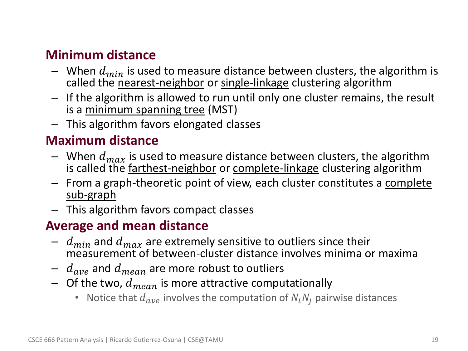#### • **Minimum distance**

- When  $d_{min}$  is used to measure distance between clusters, the algorithm is called the nearest-neighbor or single-linkage clustering algorithm
- If the algorithm is allowed to run until only one cluster remains, the result is a minimum spanning tree (MST)
- This algorithm favors elongated classes

#### • **Maximum distance**

- When  $d_{max}$  is used to measure distance between clusters, the algorithm is called the farthest-neighbor or complete-linkage clustering algorithm
- From a graph-theoretic point of view, each cluster constitutes a complete sub-graph
- This algorithm favors compact classes

#### • **Average and mean distance**

- $d_{min}$  and  $d_{max}$  are extremely sensitive to outliers since their measurement of between-cluster distance involves minima or maxima
- $d_{ave}$  and  $d_{mean}$  are more robust to outliers
- $-$  Of the two,  $d_{mean}$  is more attractive computationally
	- Notice that  $d_{ave}$  involves the computation of  $N_i N_i$  pairwise distances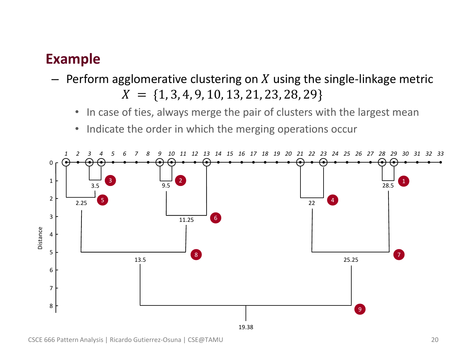### • **Example**

- $-$  Perform agglomerative clustering on X using the single-linkage metric  $X = \{1, 3, 4, 9, 10, 13, 21, 23, 28, 29\}$ 
	- In case of ties, always merge the pair of clusters with the largest mean
	- Indicate the order in which the merging operations occur